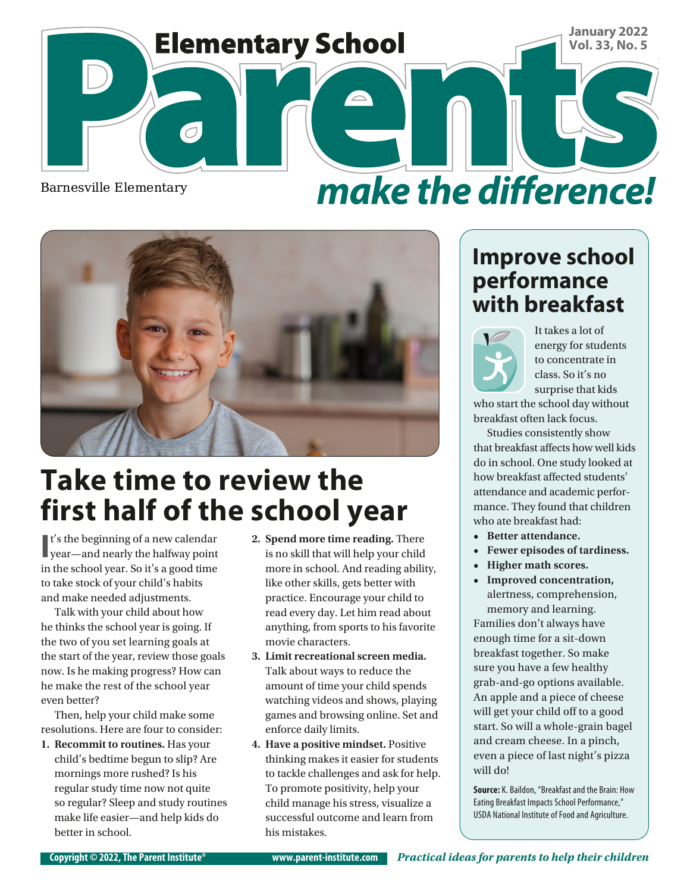

make the difference!



# **Take time to review the first half of the school year**

**I** t's the beginning of a new calendar year—and nearly the halfway point in the school year. So it's a good time to take stock of your child's habits and make needed adjustments.

Talk with your child about how he thinks the school year is going. If the two of you set learning goals at the start of the year, review those goals now. Is he making progress? How can he make the rest of the school year even better?

Then, help your child make some resolutions. Here are four to consider:

**1. Recommit to routines.** Has your child's bedtime begun to slip? Are mornings more rushed? Is his regular study time now not quite so regular? Sleep and study routines make life easier—and help kids do better in school.

- **2. Spend more time reading.** There is no skill that will help your child more in school. And reading ability, like other skills, gets better with practice. Encourage your child to read every day. Let him read about anything, from sports to his favorite movie characters.
- **3. Limit recreational screen media.**  Talk about ways to reduce the amount of time your child spends watching videos and shows, playing games and browsing online. Set and enforce daily limits.
- **4. Have a positive mindset.** Positive thinking makes it easier for students to tackle challenges and ask for help. To promote positivity, help your child manage his stress, visualize a successful outcome and learn from his mistakes.

#### **Improve school performance with breakfast**



It takes a lot of energy for students to concentrate in class. So it's no surprise that kids

who start the school day without breakfast often lack focus.

Studies consistently show that breakfast affects how well kids do in school. One study looked at how breakfast affected students' attendance and academic performance. They found that children who ate breakfast had:

- **• Better attendance.**
- **• Fewer episodes of tardiness.**
- **• Higher math scores.**
- **• Improved concentration,**  alertness, comprehension, memory and learning.

Families don't always have enough time for a sit-down breakfast together. So make sure you have a few healthy grab-and-go options available. An apple and a piece of cheese will get your child off to a good start. So will a whole-grain bagel and cream cheese. In a pinch, even a piece of last night's pizza will do!

**Source:** K. Baildon, "Breakfast and the Brain: How Eating Breakfast Impacts School Performance," USDA National Institute of Food and Agriculture.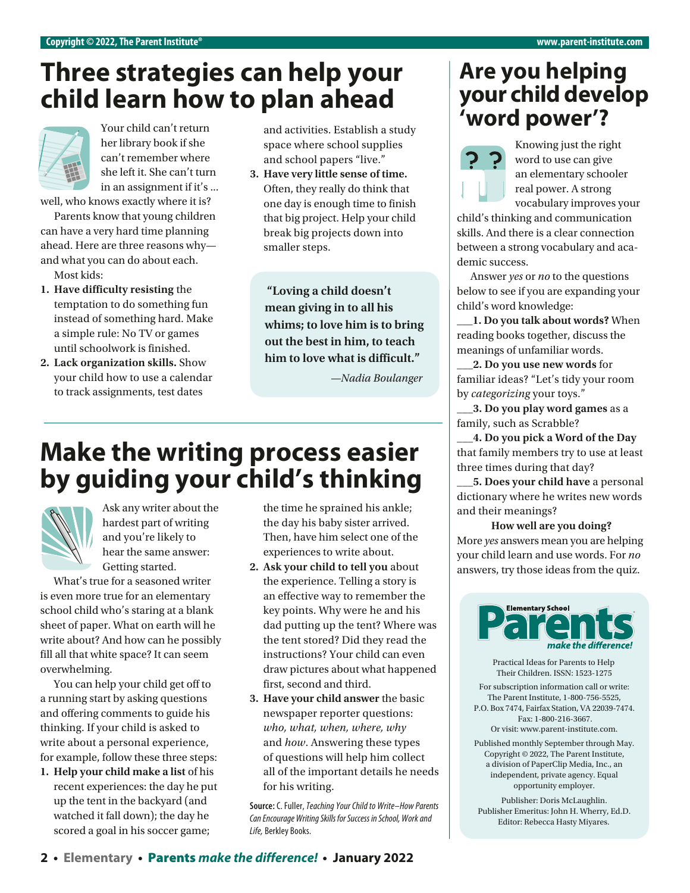#### **Three strategies can help your child learn how to plan ahead**



her library book if she can't remember where she left it. She can't turn in an assignment if it's ...

well, who knows exactly where it is?

Parents know that young children can have a very hard time planning ahead. Here are three reasons why and what you can do about each. Most kids:

- **1. Have difficulty resisting** the temptation to do something fun instead of something hard. Make a simple rule: No TV or games until schoolwork is finished.
- **2. Lack organization skills.** Show your child how to use a calendar to track assignments, test dates

and activities. Establish a study space where school supplies and school papers "live."

**3. Have very little sense of time.**  Often, they really do think that one day is enough time to finish that big project. Help your child break big projects down into smaller steps.

**"Loving a child doesn't mean giving in to all his whims; to love him is to bring out the best in him, to teach him to love what is difficult."**

*—Nadia Boulanger*

## **Make the writing process easier by guiding your child's thinking**



Ask any writer about the hardest part of writing and you're likely to hear the same answer: Getting started.

What's true for a seasoned writer is even more true for an elementary school child who's staring at a blank sheet of paper. What on earth will he write about? And how can he possibly fill all that white space? It can seem overwhelming.

You can help your child get off to a running start by asking questions and offering comments to guide his thinking. If your child is asked to write about a personal experience, for example, follow these three steps:

**1. Help your child make a list** of his recent experiences: the day he put up the tent in the backyard (and watched it fall down); the day he scored a goal in his soccer game;

the time he sprained his ankle; the day his baby sister arrived. Then, have him select one of the experiences to write about.

- **2. Ask your child to tell you** about the experience. Telling a story is an effective way to remember the key points. Why were he and his dad putting up the tent? Where was the tent stored? Did they read the instructions? Your child can even draw pictures about what happened first, second and third.
- **3. Have your child answer** the basic newspaper reporter questions: *who, what, when, where, why* and *how*. Answering these types of questions will help him collect all of the important details he needs for his writing.

**Source:** C. Fuller, *Teaching Your Child to Write–How Parents Can Encourage Writing Skills for Success in School, Work and Life,* Berkley Books.

#### **Are you helping your child develop**  Your child can't return and activities. Establish a study **Word power'?**



Knowing just the right word to use can give an elementary schooler real power. A strong vocabulary improves your

child's thinking and communication skills. And there is a clear connection between a strong vocabulary and academic success.

Answer *yes* or *no* to the questions below to see if you are expanding your child's word knowledge:

**\_\_\_1. Do you talk about words?** When reading books together, discuss the meanings of unfamiliar words.

**\_\_\_2. Do you use new words** for familiar ideas? "Let's tidy your room by *categorizing* your toys."

**\_\_\_3. Do you play word games** as a family, such as Scrabble?

**\_\_\_4. Do you pick a Word of the Day** that family members try to use at least three times during that day?

**\_\_\_5. Does your child have** a personal dictionary where he writes new words and their meanings?

#### **How well are you doing?**

More *yes* answers mean you are helping your child learn and use words. For *no* answers, try those ideas from the quiz.



Practical Ideas for Parents to Help Their Children. ISSN: 1523-1275

For subscription information call or write: The Parent Institute, 1-800-756-5525, P.O. Box 7474, Fairfax Station, VA 22039-7474. Fax: 1-800-216-3667.

Or visit: [www.parent-institute.com](http://www.parent-institute.com).

Published monthly September through May. Copyright © 2022, The Parent Institute, a division of PaperClip Media, Inc., an independent, private agency. Equal opportunity employer.

Publisher: Doris McLaughlin. Publisher Emeritus: John H. Wherry, Ed.D. Editor: Rebecca Hasty Miyares.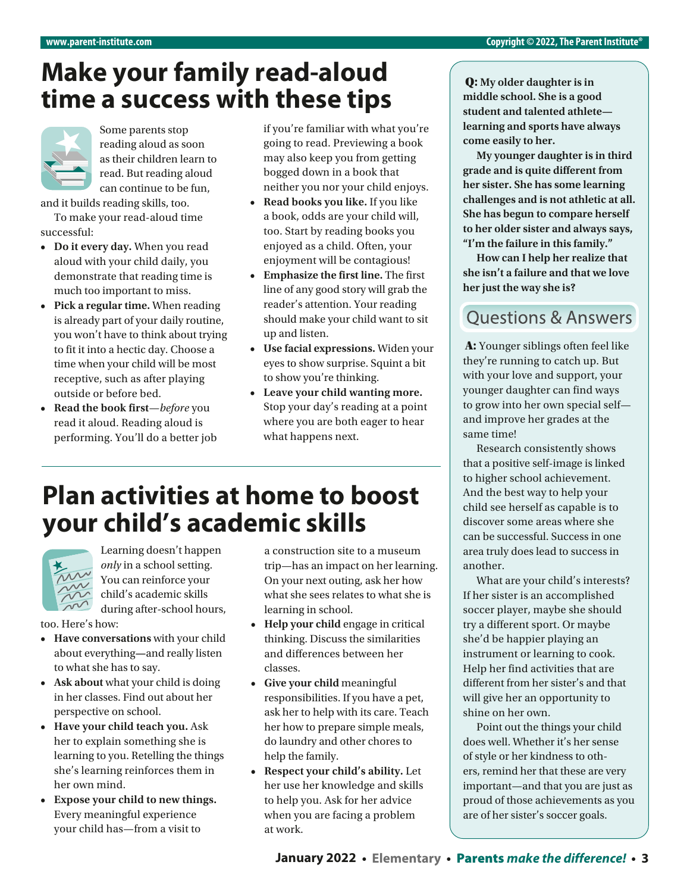## **Make your family read-aloud time a success with these tips**



Some parents stop reading aloud as soon as their children learn to read. But reading aloud can continue to be fun,

and it builds reading skills, too.

To make your read-aloud time successful:

- **• Do it every day.** When you read aloud with your child daily, you demonstrate that reading time is much too important to miss.
- **• Pick a regular time.** When reading is already part of your daily routine, you won't have to think about trying to fit it into a hectic day. Choose a time when your child will be most receptive, such as after playing outside or before bed.
- **• Read the book first**—*before* you read it aloud. Reading aloud is performing. You'll do a better job

if you're familiar with what you're going to read. Previewing a book may also keep you from getting bogged down in a book that neither you nor your child enjoys.

- **• Read books you like.** If you like a book, odds are your child will, too. Start by reading books you enjoyed as a child. Often, your enjoyment will be contagious!
- **• Emphasize the first line.** The first line of any good story will grab the reader's attention. Your reading should make your child want to sit up and listen.
- **• Use facial expressions.** Widen your eyes to show surprise. Squint a bit to show you're thinking.
- **• Leave your child wanting more.**  Stop your day's reading at a point where you are both eager to hear what happens next.

#### **Plan activities at home to boost your child's academic skills**



Learning doesn't happen *only* in a school setting. You can reinforce your child's academic skills during after-school hours,

too. Here's how:

- **• Have conversations** with your child about everything**—**and really listen to what she has to say.
- **• Ask about** what your child is doing in her classes. Find out about her perspective on school.
- **• Have your child teach you.** Ask her to explain something she is learning to you. Retelling the things she's learning reinforces them in her own mind.
- **• Expose your child to new things.**  Every meaningful experience your child has—from a visit to

a construction site to a museum trip—has an impact on her learning. On your next outing, ask her how what she sees relates to what she is learning in school.

- **• Help your child** engage in critical thinking. Discuss the similarities and diferences between her classes.
- **• Give your child** meaningful responsibilities. If you have a pet, ask her to help with its care. Teach her how to prepare simple meals, do laundry and other chores to help the family.
- **• Respect your child's ability.** Let her use her knowledge and skills to help you. Ask for her advice when you are facing a problem at work.

Q: **My older daughter is in middle school. She is a good student and talented athlete learning and sports have always come easily to her.** 

**My younger daughter is in third grade and is quite different from her sister. She has some learning challenges and is not athletic at all. She has begun to compare herself to her older sister and always says, "I'm the failure in this family."** 

**How can I help her realize that she isn't a failure and that we love her just the way she is?**

#### **Ouestions & Answers**

A: Younger siblings often feel like they're running to catch up. But with your love and support, your younger daughter can find ways to grow into her own special self and improve her grades at the same time!

Research consistently shows that a positive self-image is linked to higher school achievement. And the best way to help your child see herself as capable is to discover some areas where she can be successful. Success in one area truly does lead to success in another.

What are your child's interests? If her sister is an accomplished soccer player, maybe she should try a different sport. Or maybe she'd be happier playing an instrument or learning to cook. Help her find activities that are different from her sister's and that will give her an opportunity to shine on her own.

Point out the things your child does well. Whether it's her sense of style or her kindness to others, remind her that these are very important—and that you are just as proud of those achievements as you are of her sister's soccer goals.